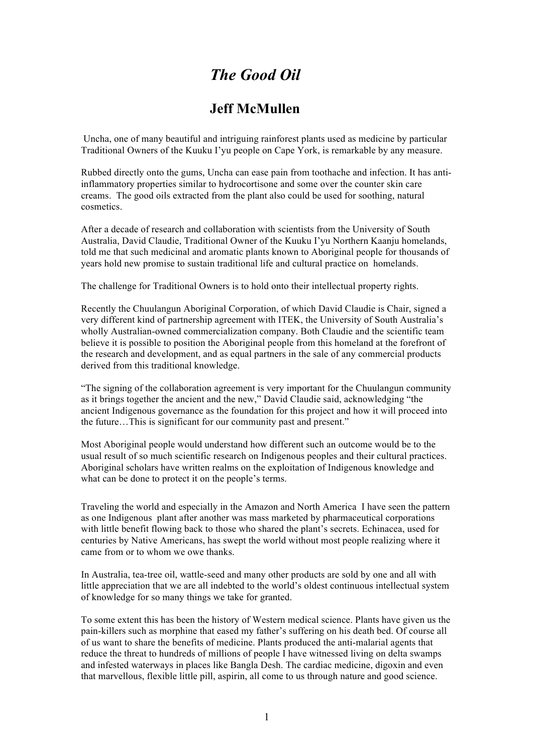## *The Good Oil*

## **Jeff McMullen**

Uncha, one of many beautiful and intriguing rainforest plants used as medicine by particular Traditional Owners of the Kuuku I'yu people on Cape York, is remarkable by any measure.

Rubbed directly onto the gums, Uncha can ease pain from toothache and infection. It has antiinflammatory properties similar to hydrocortisone and some over the counter skin care creams. The good oils extracted from the plant also could be used for soothing, natural cosmetics.

After a decade of research and collaboration with scientists from the University of South Australia, David Claudie, Traditional Owner of the Kuuku I'yu Northern Kaanju homelands, told me that such medicinal and aromatic plants known to Aboriginal people for thousands of years hold new promise to sustain traditional life and cultural practice on homelands.

The challenge for Traditional Owners is to hold onto their intellectual property rights.

Recently the Chuulangun Aboriginal Corporation, of which David Claudie is Chair, signed a very different kind of partnership agreement with ITEK, the University of South Australia's wholly Australian-owned commercialization company. Both Claudie and the scientific team believe it is possible to position the Aboriginal people from this homeland at the forefront of the research and development, and as equal partners in the sale of any commercial products derived from this traditional knowledge.

"The signing of the collaboration agreement is very important for the Chuulangun community as it brings together the ancient and the new," David Claudie said, acknowledging "the ancient Indigenous governance as the foundation for this project and how it will proceed into the future…This is significant for our community past and present."

Most Aboriginal people would understand how different such an outcome would be to the usual result of so much scientific research on Indigenous peoples and their cultural practices. Aboriginal scholars have written realms on the exploitation of Indigenous knowledge and what can be done to protect it on the people's terms.

Traveling the world and especially in the Amazon and North America I have seen the pattern as one Indigenous plant after another was mass marketed by pharmaceutical corporations with little benefit flowing back to those who shared the plant's secrets. Echinacea, used for centuries by Native Americans, has swept the world without most people realizing where it came from or to whom we owe thanks.

In Australia, tea-tree oil, wattle-seed and many other products are sold by one and all with little appreciation that we are all indebted to the world's oldest continuous intellectual system of knowledge for so many things we take for granted.

To some extent this has been the history of Western medical science. Plants have given us the pain-killers such as morphine that eased my father's suffering on his death bed. Of course all of us want to share the benefits of medicine. Plants produced the anti-malarial agents that reduce the threat to hundreds of millions of people I have witnessed living on delta swamps and infested waterways in places like Bangla Desh. The cardiac medicine, digoxin and even that marvellous, flexible little pill, aspirin, all come to us through nature and good science.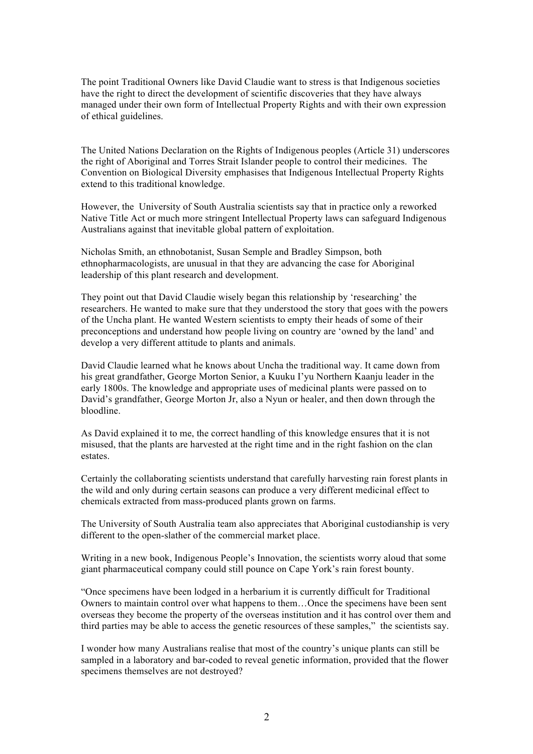The point Traditional Owners like David Claudie want to stress is that Indigenous societies have the right to direct the development of scientific discoveries that they have always managed under their own form of Intellectual Property Rights and with their own expression of ethical guidelines.

The United Nations Declaration on the Rights of Indigenous peoples (Article 31) underscores the right of Aboriginal and Torres Strait Islander people to control their medicines. The Convention on Biological Diversity emphasises that Indigenous Intellectual Property Rights extend to this traditional knowledge.

However, the University of South Australia scientists say that in practice only a reworked Native Title Act or much more stringent Intellectual Property laws can safeguard Indigenous Australians against that inevitable global pattern of exploitation.

Nicholas Smith, an ethnobotanist, Susan Semple and Bradley Simpson, both ethnopharmacologists, are unusual in that they are advancing the case for Aboriginal leadership of this plant research and development.

They point out that David Claudie wisely began this relationship by 'researching' the researchers. He wanted to make sure that they understood the story that goes with the powers of the Uncha plant. He wanted Western scientists to empty their heads of some of their preconceptions and understand how people living on country are 'owned by the land' and develop a very different attitude to plants and animals.

David Claudie learned what he knows about Uncha the traditional way. It came down from his great grandfather, George Morton Senior, a Kuuku I'yu Northern Kaanju leader in the early 1800s. The knowledge and appropriate uses of medicinal plants were passed on to David's grandfather, George Morton Jr, also a Nyun or healer, and then down through the bloodline.

As David explained it to me, the correct handling of this knowledge ensures that it is not misused, that the plants are harvested at the right time and in the right fashion on the clan estates.

Certainly the collaborating scientists understand that carefully harvesting rain forest plants in the wild and only during certain seasons can produce a very different medicinal effect to chemicals extracted from mass-produced plants grown on farms.

The University of South Australia team also appreciates that Aboriginal custodianship is very different to the open-slather of the commercial market place.

Writing in a new book, Indigenous People's Innovation, the scientists worry aloud that some giant pharmaceutical company could still pounce on Cape York's rain forest bounty.

"Once specimens have been lodged in a herbarium it is currently difficult for Traditional Owners to maintain control over what happens to them…Once the specimens have been sent overseas they become the property of the overseas institution and it has control over them and third parties may be able to access the genetic resources of these samples," the scientists say.

I wonder how many Australians realise that most of the country's unique plants can still be sampled in a laboratory and bar-coded to reveal genetic information, provided that the flower specimens themselves are not destroyed?